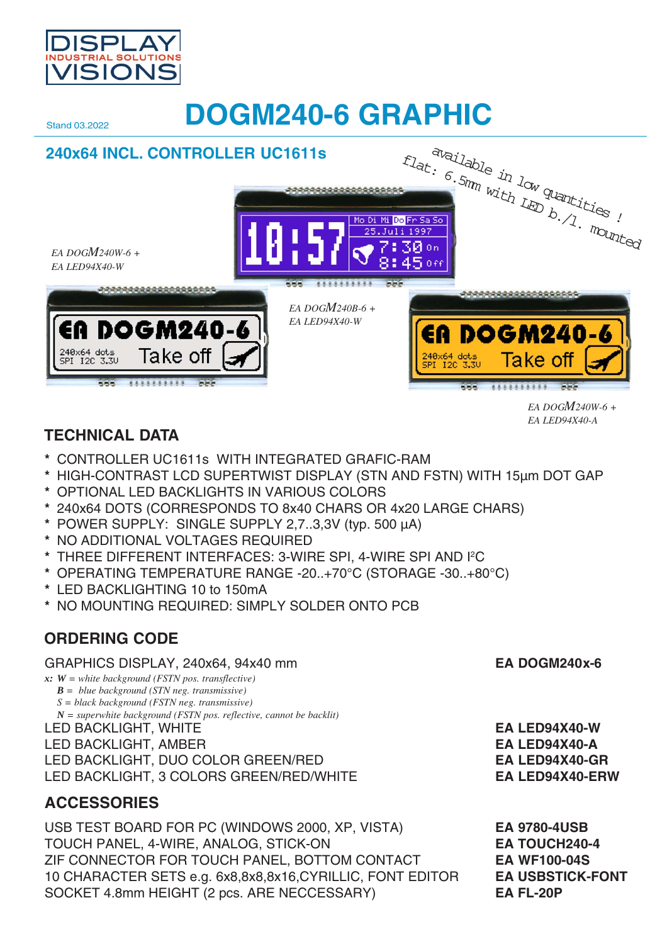

# **Stand 03.2022 DOGM240-6 GRAPHIC**



# **TECHNICAL DATA**

- **\*** CONTROLLER UC1611s WITH INTEGRATED GRAFIC-RAM
- **\*** HIGH-CONTRAST LCD SUPERTWIST DISPLAY (STN AND FSTN) WITH 15µm DOT GAP
- **\*** OPTIONAL LED BACKLIGHTS IN VARIOUS COLORS
- **\*** 240x64 DOTS (CORRESPONDS TO 8x40 CHARS OR 4x20 LARGE CHARS)
- **\*** POWER SUPPLY: SINGLE SUPPLY 2,7..3,3V (typ. 500 µA)
- **\*** NO ADDITIONAL VOLTAGES REQUIRED
- **\*** THREE DIFFERENT INTERFACES: 3-WIRE SPI, 4-WIRE SPI AND I2C
- **\*** OPERATING TEMPERATURE RANGE -20..+70°C (STORAGE -30..+80°C)
- **\*** LED BACKLIGHTING 10 to 150mA
- **\*** NO MOUNTING REQUIRED: SIMPLY SOLDER ONTO PCB

# **ORDERING CODE**

# GRAPHICS DISPLAY, 240x64, 94x40 mm **EA DOGM240x-6**

- *x: W = white background (FSTN pos. transflective)*
	- *B = blue background (STN neg. transmissive)*
	- *S = black background (FSTN neg. transmissive) N = superwhite background (FSTN pos. reflective, cannot be backlit)*
- 
- 
- LED BACKLIGHT, AMBER **EA LED94X40-A**
- LED BACKLIGHT, DUO COLOR GREEN/RED **EA LED94X40-GR**

LED BACKLIGHT, 3 COLORS GREEN/RED/WHITE **EA LED94X40-ERW**

# **ACCESSORIES**

USB TEST BOARD FOR PC (WINDOWS 2000, XP, VISTA) **EA 9780-4USB** TOUCH PANEL, 4-WIRE, ANALOG, STICK-ON **EA TOUCH240-4** ZIF CONNECTOR FOR TOUCH PANEL, BOTTOM CONTACT **EA WF100-04S** 10 CHARACTER SETS e.g. 6x8,8x8,8x16,CYRILLIC, FONT EDITOR **EA USBSTICK-FONT** SOCKET 4.8mm HEIGHT (2 pcs. ARE NECCESSARY) **EA FL-20P**

LED BACKLIGHT, WHITE **EA LED94X40-W**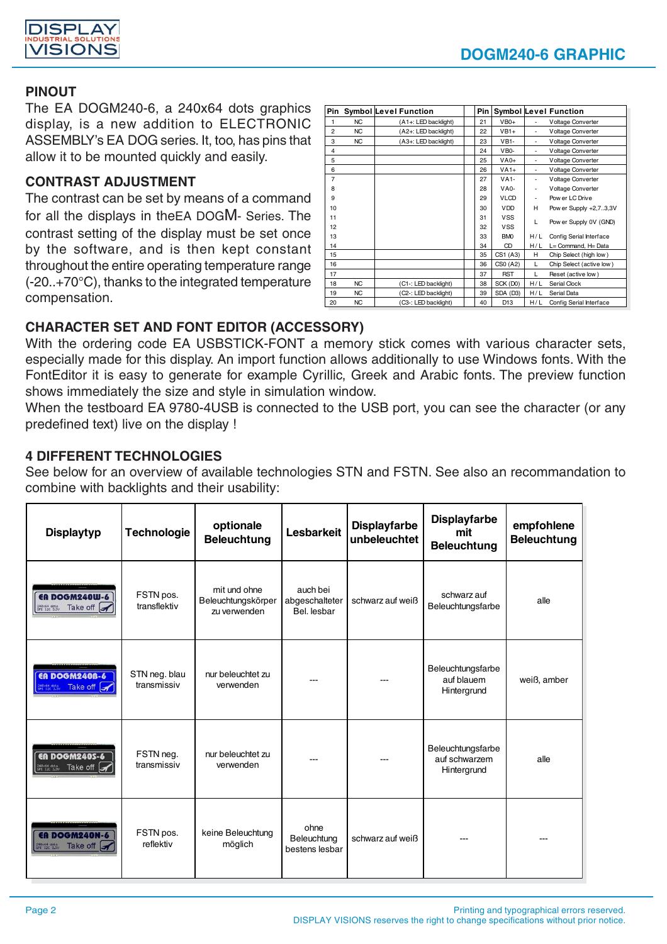

## **PINOUT**

The EA DOGM240-6, a 240x64 dots graphics display, is a new addition to ELECTRONIC ASSEMBLY's EA DOG series. It, too, has pins that allow it to be mounted quickly and easily.

## **CONTRAST ADJUSTMENT**

The contrast can be set by means of a command for all the displays in theEA DOGM- Series. The contrast setting of the display must be set once by the software, and is then kept constant throughout the entire operating temperature range (-20..+70°C), thanks to the integrated temperature compensation.

|                |           | Pin Symbol Level Function | Pin |                 |     | <b>Symbol Level Function</b> |
|----------------|-----------|---------------------------|-----|-----------------|-----|------------------------------|
| 1              | NC        | (A1+: LED backlight)      | 21  | $VB0+$          |     | Voltage Converter            |
| $\overline{2}$ | <b>NC</b> | (A2+: LED backlight)      | 22  | $VB1+$          | ٠   | Voltage Converter            |
| 3              | <b>NC</b> | (A3+: LED backlight)      | 23  | $VB1-$          | ٠   | Voltage Converter            |
| 4              |           |                           | 24  | $VBO-$          |     | Voltage Converter            |
| 5              |           |                           | 25  | $VAO+$          | ٠   | Voltage Converter            |
| 6              |           |                           | 26  | $VA1+$          | ÷   | Voltage Converter            |
| $\overline{7}$ |           |                           | 27  | $VA1-$          |     | Voltage Converter            |
| 8              |           |                           | 28  | $VAD-$          |     | Voltage Converter            |
| 9              |           |                           | 29  | <b>VLCD</b>     |     | Pow er LC Drive              |
| 10             |           |                           | 30  | <b>VDD</b>      | н   | Pow er Supply +2,73,3V       |
| 11             |           |                           | 31  | <b>VSS</b>      | L   |                              |
| 12             |           |                           | 32  | <b>VSS</b>      |     | Pow er Supply 0V (GND)       |
| 13             |           |                           | 33  | <b>BMO</b>      | H/L | Config Serial Interface      |
| 14             |           |                           | 34  | CD              | H/L | L= Command, H= Data          |
| 15             |           |                           | 35  | CS1 (A3)        | н   | Chip Select (high low)       |
| 16             |           |                           | 36  | CS0 (A2)        | L   | Chip Select (active low)     |
| 17             |           |                           | 37  | <b>RST</b>      | L   | Reset (active low)           |
| 18             | <b>NC</b> | (C1-: LED backlight)      | 38  | SCK (D0)        | H/L | Serial Clock                 |
| 19             | <b>NC</b> | (C2-: LED backlight)      | 39  | SDA (D3)        | H/L | Serial Data                  |
| 20             | <b>NC</b> | (C3-: LED backlight)      | 40  | D <sub>13</sub> | H/L | Config Serial Interface      |

## **CHARACTER SET AND FONT EDITOR (ACCESSORY)**

With the ordering code EA USBSTICK-FONT a memory stick comes with various character sets, especially made for this display. An import function allows additionally to use Windows fonts. With the FontEditor it is easy to generate for example Cyrillic, Greek and Arabic fonts. The preview function shows immediately the size and style in simulation window.

When the testboard EA 9780-4USB is connected to the USB port, you can see the character (or any predefined text) live on the display !

## **4 DIFFERENT TECHNOLOGIES**

See below for an overview of available technologies STN and FSTN. See also an recommandation to combine with backlights and their usability:

| <b>Displaytyp</b>                                                                                 | <b>Technologie</b>           | optionale<br><b>Beleuchtung</b>                    | <b>Lesbarkeit</b>                         | <b>Displayfarbe</b><br>unbeleuchtet | <b>Displayfarbe</b><br>mit<br><b>Beleuchtung</b>  | empfohlene<br><b>Beleuchtung</b> |
|---------------------------------------------------------------------------------------------------|------------------------------|----------------------------------------------------|-------------------------------------------|-------------------------------------|---------------------------------------------------|----------------------------------|
| ER DOGM240W-6<br>Take off $\sqrt{\phantom{a}}$<br>240x64 dots<br>SPI 12C 3.3U                     | FSTN pos.<br>transflektiv    | mit und ohne<br>Beleuchtungskörper<br>zu verwenden | auch bei<br>abgeschalteter<br>Bel. lesbar | schwarz auf weiß                    | schwarz auf<br>Beleuchtungsfarbe                  | alle                             |
| <b>EN DOGM2408-6</b><br><b><i><u><b>Expressions</b></u></i> Take off <math>\mathcal{A}</math></b> | STN neg. blau<br>transmissiv | nur beleuchtet zu<br>verwenden                     |                                           |                                     | Beleuchtungsfarbe<br>auf blauem<br>Hintergrund    | weiß, amber                      |
| <b>EN DOGM2405-6</b><br><b>BOX64 Stay</b> Take off $\rightarrow$                                  | FSTN neg.<br>transmissiv     | nur beleuchtet zu<br>verwenden                     |                                           |                                     | Beleuchtungsfarbe<br>auf schwarzem<br>Hintergrund | alle                             |
| <b>ER DOGM240N-6</b><br>248x64 dots Take off                                                      | FSTN pos.<br>reflektiv       | keine Beleuchtung<br>möglich                       | ohne<br>Beleuchtung<br>bestens lesbar     | schwarz auf weiß                    |                                                   |                                  |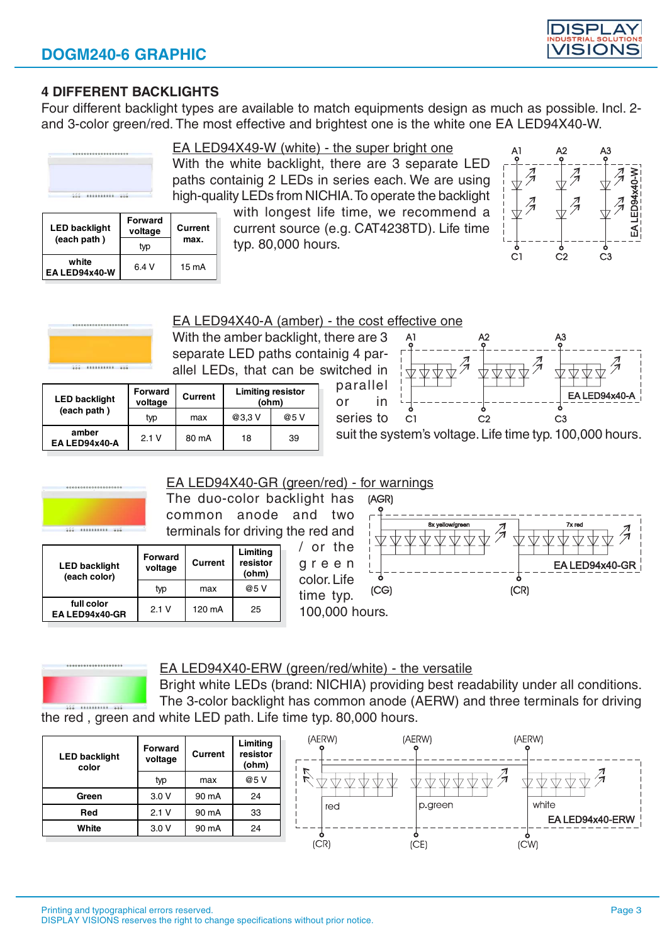

## **4 DIFFERENT BACKLIGHTS**

Four different backlight types are available to match equipments design as much as possible. Incl. 2 and 3-color green/red. The most effective and brightest one is the white one EA LED94X40-W.



..........

# EA LED94X49-W (white) - the super bright one

With the white backlight, there are 3 separate LED paths containig 2 LEDs in series each. We are using high-quality LEDs from NICHIA. To operate the backlight

> with longest life time, we recommend a current source (e.g. CAT4238TD). Life time typ. 80,000 hours.



| <b>LED backlight</b>   | <b>Forward</b><br>voltage | Current |  |
|------------------------|---------------------------|---------|--|
| (each path)            | typ                       | max.    |  |
| white<br>EA LED94x40-W | 6.4 V                     | 15 mA   |  |

EA LED94X40-A (amber) - the cost effective one

With the amber backlight, there are 3 separate LED paths containig 4 parallel LEDs, that can be switched in parallel

| <b>LED backlight</b>   | <b>Forward</b><br>voltage | Current | <b>Limiting resistor</b><br>(ohm) |      |  |  |
|------------------------|---------------------------|---------|-----------------------------------|------|--|--|
| (each path)            | typ                       | max     | @3,3V                             | @5 V |  |  |
| amber<br>EA LED94x40-A | 2.1V                      | 80 mA   | 18                                | 39   |  |  |



suit the system's voltage. Life time typ. 100,000 hours.





#### EA LED94X40-ERW (green/red/white) - the versatile

Bright white LEDs (brand: NICHIA) providing best readability under all conditions. The 3-color backlight has common anode (AERW) and three terminals for driving

the red , green and white LED path. Life time typ. 80,000 hours.

| <b>LED backlight</b><br>color | <b>Forward</b><br>voltage | Current | Limiting<br>resistor<br>(ohm) |
|-------------------------------|---------------------------|---------|-------------------------------|
|                               | typ                       | max     | @5 V                          |
| Green                         | 3.0V                      | 90 mA   | 24                            |
| Red                           | 2.1V                      | 90 mA   | 33                            |
| White                         | 3.0V                      | 90 mA   | 24                            |

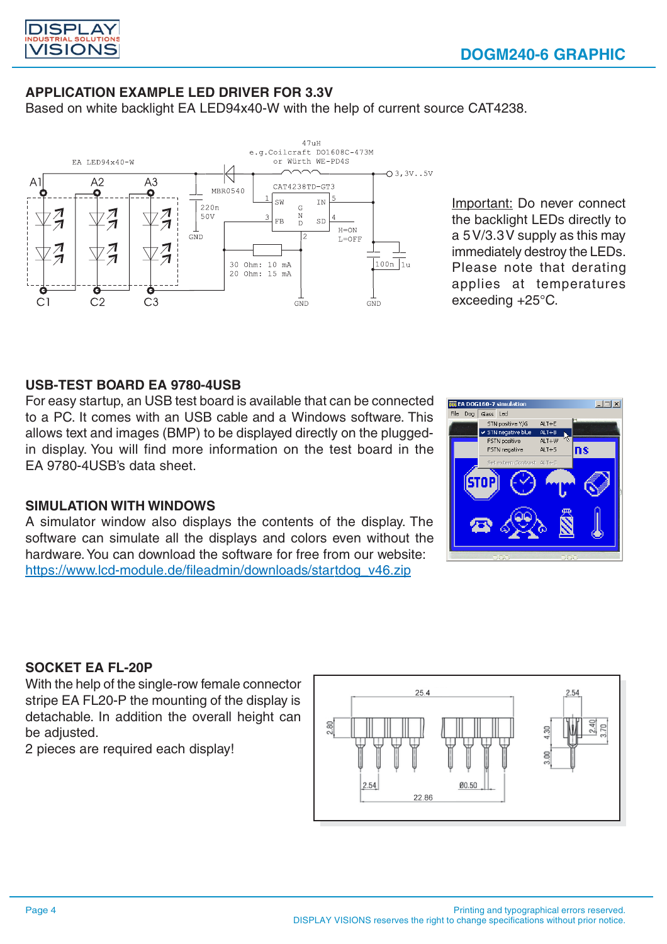

# **APPLICATION EXAMPLE LED DRIVER FOR 3.3V**

Based on white backlight EA LED94x40-W with the help of current source CAT4238.



Important: Do never connect the backlight LEDs directly to a 5 V/3.3 V supply as this may immediately destroy the LEDs. Please note that derating applies at temperatures exceeding +25°C.

#### **USB-TEST BOARD EA 9780-4USB**

For easy startup, an USB test board is available that can be connected to a PC. It comes with an USB cable and a Windows software. This allows text and images (BMP) to be displayed directly on the pluggedin display. You will find more information on the test board in the EA 9780-4USB's data sheet.

#### **SIMULATION WITH WINDOWS**

A simulator window also displays the contents of the display. The software can simulate all the displays and colors even without the hardware. You can download the software for free from our website: https://www.lcd-module.de/fileadmin/downloads/startdog\_v46.zip



#### **SOCKET EA FL-20P**

With the help of the single-row female connector stripe EA FL20-P the mounting of the display is detachable. In addition the overall height can be adjusted.

2 pieces are required each display!

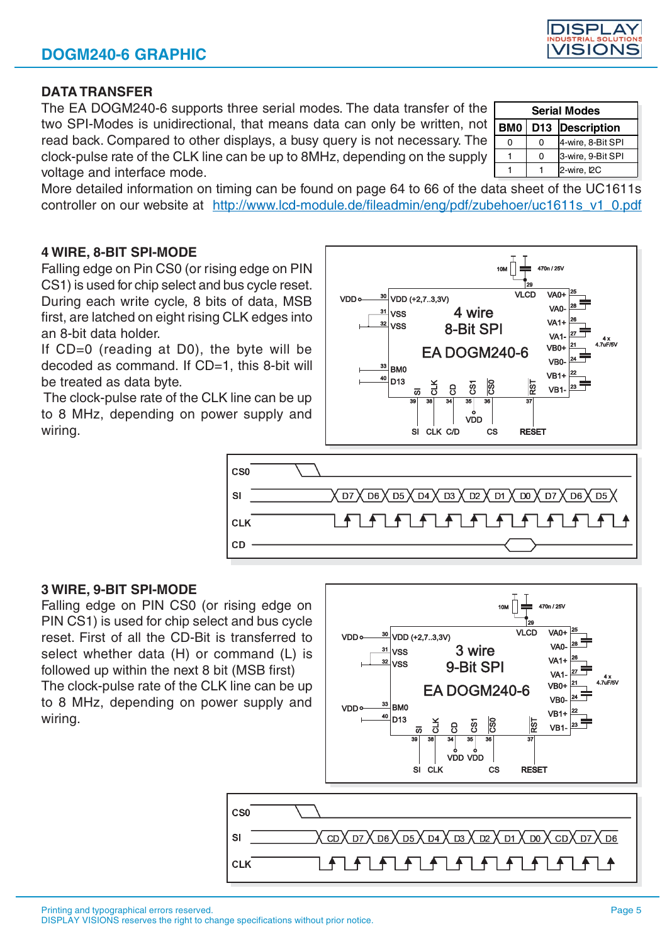C<sub>S0</sub>

**CLK** 

 $SI$ 

# **DATA TRANSFER**

The EA DOGM240-6 supports three serial modes. The data transfer of the two SPI-Modes is unidirectional, that means data can only be written, not read back. Compared to other displays, a busy query is not necessary. The clock-pulse rate of the CLK line can be up to 8MHz, depending on the supply voltage and interface mode.

More detailed information on timing can be found on page 64 to 66 of the data sheet of the UC1611s controller on our website at http://www.lcd-module.de/fileadmin/eng/pdf/zubehoer/uc1611s\_v1\_0.pdf

VDD

 $31$ **VSS** 

**VSS** 

BM<sub>0</sub>

D<sub>13</sub>

# **4 WIRE, 8-BIT SPI-MODE**

Falling edge on Pin CS0 (or rising edge on PIN CS1) is used for chip select and bus cycle reset. During each write cycle, 8 bits of data, MSB first, are latched on eight rising CLK edges into an 8-bit data holder.

If CD=0 (reading at D0), the byte will be decoded as command. If CD=1, this 8-bit will be treated as data byte.

 The clock-pulse rate of the CLK line can be up to 8 MHz, depending on power supply and wiring.



30

 $\frac{31}{1}$ VSS  $\frac{32}{10}$  VSS

 $VDD$ 

VDD (+2,7..3,3V)

VDD (+2,7..3,3V)

 $2K$ 

 $\overline{a}$ 

4 wire

8-Bit SPI

**FA DOGM240-6** 

ନ୍ଦି  $\mathbf{a}$ 

ြို့

 $\overline{\phantom{a}}$ 

**VLCD** 

470n / 25V

VA<sub>0</sub>

VA<sub>0</sub>

 $VA1+$ 

## **3 WIRE, 9-BIT SPI-MODE**

Falling edge on PIN CS0 (or rising edge on PIN CS1) is used for chip select and bus cycle reset. First of all the CD-Bit is transferred to select whether data (H) or command (L) is followed up within the next 8 bit (MSB first) The clock-pulse rate of the CLK line can be up

to 8 MHz, depending on power supply and wiring.



3 wire

| <b>Serial Modes</b> |  |                   |  |  |  |  |  |  |  |  |
|---------------------|--|-------------------|--|--|--|--|--|--|--|--|
| <b>BM0</b>          |  | D13  Description  |  |  |  |  |  |  |  |  |
|                     |  | 4-wire, 8-Bit SPI |  |  |  |  |  |  |  |  |
|                     |  | 3-wire, 9-Bit SPI |  |  |  |  |  |  |  |  |
|                     |  | 2-wire, I2C       |  |  |  |  |  |  |  |  |

470n / 25V

VA<sub>0</sub>+

VA<sub>0</sub>

VA<sub>1</sub>

VA<sub>1</sub> VR<sub>04</sub>

VB<sub>0</sub>

**VB1+** 

VR<sub>1</sub>

Гос  $\overline{M}$  CD

 $\overline{5}$ 

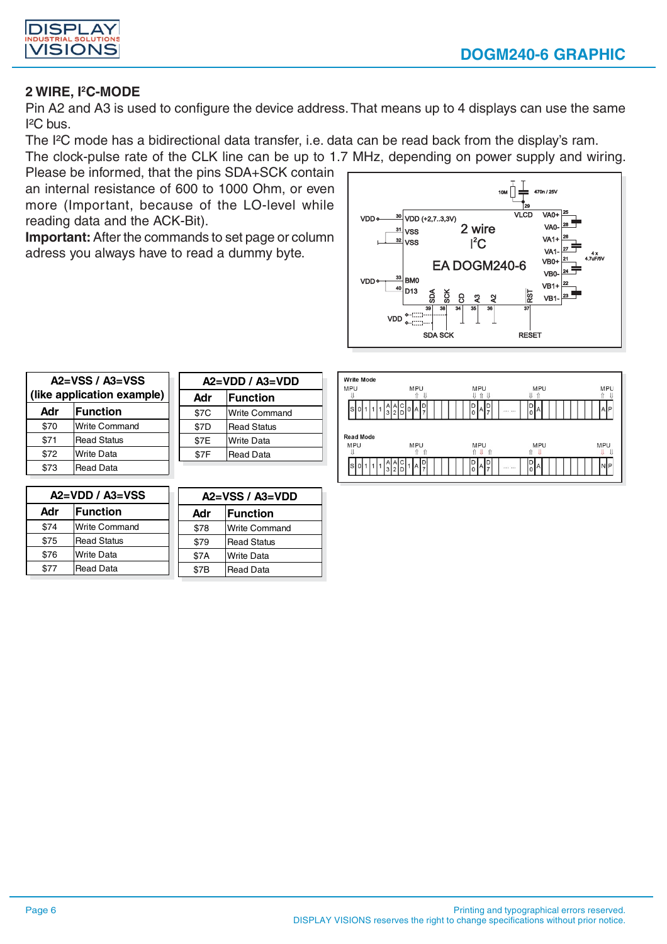



## **2 WIRE, I2C-MODE**

Pin A2 and A3 is used to configure the device address. That means up to 4 displays can use the same  $I<sup>2</sup>C$  bus.

The I²C mode has a bidirectional data transfer, i.e. data can be read back from the display's ram.

The clock-pulse rate of the CLK line can be up to 1.7 MHz, depending on power supply and wiring.

Please be informed, that the pins SDA+SCK contain an internal resistance of 600 to 1000 Ohm, or even more (Important, because of the LO-level while reading data and the ACK-Bit).

**Important:** After the commands to set page or column adress you always have to read a dummy byte.



| $A2 = VSS / A3 = VSS$<br>(like application example) |                      |  |  |  |  |  |  |  |
|-----------------------------------------------------|----------------------|--|--|--|--|--|--|--|
| <b>IFunction</b><br>Adr                             |                      |  |  |  |  |  |  |  |
| \$70                                                | <b>Write Command</b> |  |  |  |  |  |  |  |
| \$71                                                | <b>Read Status</b>   |  |  |  |  |  |  |  |
| \$72                                                | <b>Write Data</b>    |  |  |  |  |  |  |  |
| \$73                                                | <b>Read Data</b>     |  |  |  |  |  |  |  |

| $A2=VDD / A3=VDD$       |                      |  |  |  |  |  |  |  |  |
|-------------------------|----------------------|--|--|--|--|--|--|--|--|
| <b>IFunction</b><br>Adr |                      |  |  |  |  |  |  |  |  |
| \$7C                    | <b>Write Command</b> |  |  |  |  |  |  |  |  |
| \$7D                    | <b>Read Status</b>   |  |  |  |  |  |  |  |  |
| \$7E                    | <b>Write Data</b>    |  |  |  |  |  |  |  |  |
| \$7F                    | <b>Read Data</b>     |  |  |  |  |  |  |  |  |



|      | $A2=VDD / A3=VSS$    | $A2=VSS/A3=VDD$ |                    |  |  |  |  |
|------|----------------------|-----------------|--------------------|--|--|--|--|
| Adr  | <b>IFunction</b>     | Adr             | <b>IFunction</b>   |  |  |  |  |
| \$74 | <b>Write Command</b> | \$78            | Write Command      |  |  |  |  |
| \$75 | <b>Read Status</b>   | \$79            | <b>Read Status</b> |  |  |  |  |
| \$76 | <b>Write Data</b>    | \$7A            | <b>Write Data</b>  |  |  |  |  |
| \$77 | <b>Read Data</b>     | \$7B            | <b>Read Data</b>   |  |  |  |  |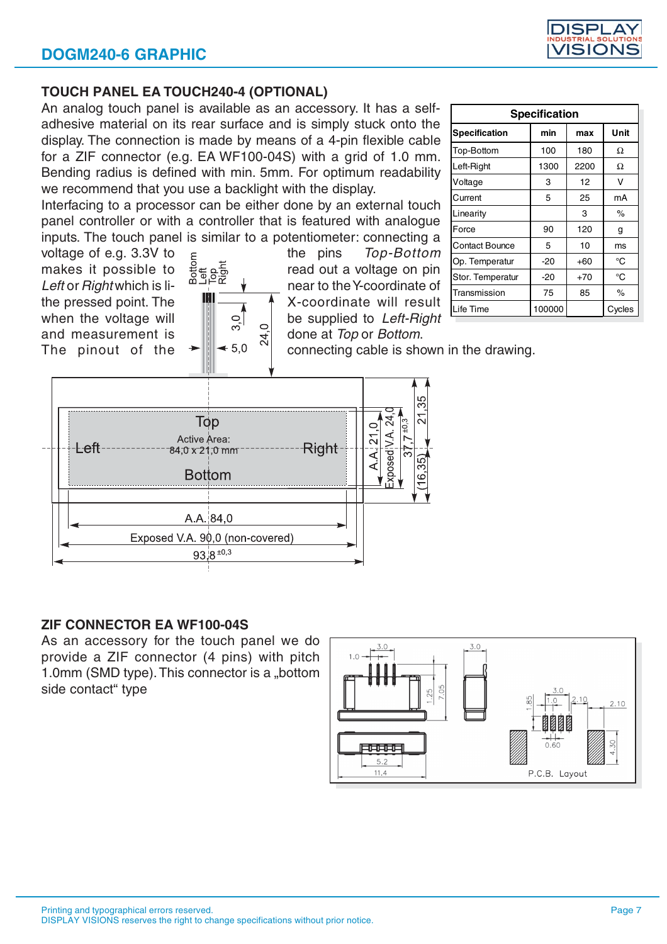

#### **TOUCH PANEL EA TOUCH240-4 (OPTIONAL)**

An analog touch panel is available as an accessory. It has a selfadhesive material on its rear surface and is simply stuck onto the display. The connection is made by means of a 4-pin flexible cable for a ZIF connector (e.g. EA WF100-04S) with a grid of 1.0 mm. Bending radius is defined with min. 5mm. For optimum readability we recommend that you use a backlight with the display.

Interfacing to a processor can be either done by an external touch panel controller or with a controller that is featured with analogue inputs. The touch panel is similar to a potentiometer: connecting a

and measurement is  $\begin{bmatrix} 1 & 0 & 1 \ 0 & 0 & 0 \end{bmatrix}$  done at Top or Bottom.

voltage of e.g. 3.3V to  $\frac{5}{6}$  the pins Top-Bottom<br>makes it possible to  $\frac{5}{6}$  the pins Top-Bottom<br>Lefter Bighty bights is the pins Lefter Bighty is the second part of the Moordinate of makes it possible to  $\frac{2}{5}$  read out a voltage on pin Left or Right which is li-  $\frac{m-16k}{k}$   $\frac{m}{k}$  near to the Y-coordinate of the pressed point. The  $\frac{m}{k}$   $\frac{m}{k}$  X-coordinate will result the pressed point. The  $\frac{100}{20}$   $\frac{100}{20}$  X-coordinate will result when the voltage will  $\begin{bmatrix} 1 & 0 \\ 0 & 1 \end{bmatrix}$  be supplied to Left-Right

| <b>Specification</b>  |        |       |        |  |  |  |  |  |  |  |
|-----------------------|--------|-------|--------|--|--|--|--|--|--|--|
| <b>Specification</b>  | min    | max   | Unit   |  |  |  |  |  |  |  |
| Top-Bottom            | 100    | 180   | Ω      |  |  |  |  |  |  |  |
| Left-Right            | 1300   | 2200  | Ω      |  |  |  |  |  |  |  |
| Voltage               | 3      | 12    | v      |  |  |  |  |  |  |  |
| Current               | 5      | 25    | mA     |  |  |  |  |  |  |  |
| Linearity             |        | 3     | %      |  |  |  |  |  |  |  |
| Force                 | 90     | 120   | g      |  |  |  |  |  |  |  |
| <b>Contact Bounce</b> | 5      | 10    | ms     |  |  |  |  |  |  |  |
| Op. Temperatur        | $-20$  | +60   | °C     |  |  |  |  |  |  |  |
| Stor. Temperatur      | -20    | $+70$ | °C     |  |  |  |  |  |  |  |
| Transmission          | 75     | 85    | %      |  |  |  |  |  |  |  |
| Life Time             | 100000 |       | Cycles |  |  |  |  |  |  |  |

The pinout of the  $\rightarrow$   $\sim$   $\sim$   $\sim$  5.0  $\sim$  connecting cable is shown in the drawing.



## **ZIF CONNECTOR EA WF100-04S**

As an accessory for the touch panel we do provide a ZIF connector (4 pins) with pitch 1.0mm (SMD type). This connector is a "bottom side contact" type

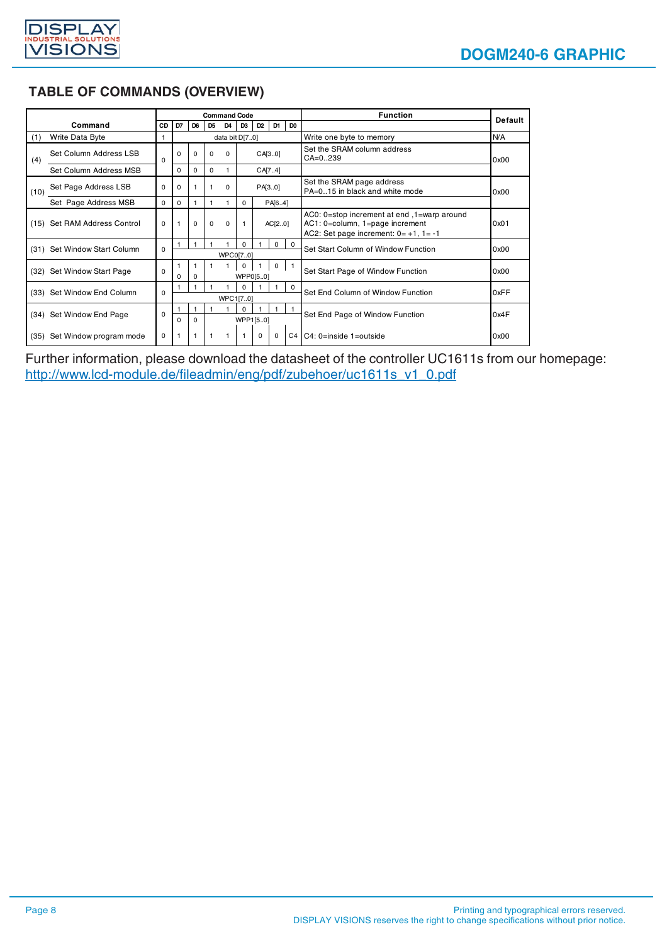

# **TABLE OF COMMANDS (OVERVIEW)**

|      |                              |          |                |                |                | <b>Command Code</b> |                          |                |              |                                                             | <b>Function</b>                     | <b>Default</b> |                                                                                                                                |      |
|------|------------------------------|----------|----------------|----------------|----------------|---------------------|--------------------------|----------------|--------------|-------------------------------------------------------------|-------------------------------------|----------------|--------------------------------------------------------------------------------------------------------------------------------|------|
|      | Command                      | CD       | D7             | D <sub>6</sub> | D <sub>5</sub> | D <sub>4</sub>      | D <sub>3</sub>           | D <sub>2</sub> | D1           | D <sub>0</sub>                                              |                                     |                |                                                                                                                                |      |
| (1)  | Write Data Byte              |          |                |                |                | data bit D[70]      |                          |                |              |                                                             | Write one byte to memory            | <b>N/A</b>     |                                                                                                                                |      |
| (4)  | Set Column Address LSB       | 0        | 0              | $\Omega$       | 0              | $\Omega$            |                          | CA[30]         |              |                                                             |                                     |                | Set the SRAM column address<br>$CA = 0.239$                                                                                    | 0x00 |
|      | Set Column Address MSB       |          | $\Omega$       | 0              | 0              |                     |                          |                | CA[7.4]      |                                                             |                                     |                |                                                                                                                                |      |
| (10) | Set Page Address LSB         | 0        | 0              | 1              |                | $\Omega$            |                          | PA[3.0]        |              | Set the SRAM page address<br>PA=015 in black and white mode |                                     | 0x00           |                                                                                                                                |      |
|      | Set Page Address MSB         | 0        | 0              | $\mathbf{1}$   |                |                     | 0                        |                | PA[6.4]      |                                                             |                                     |                |                                                                                                                                |      |
|      | (15) Set RAM Address Control | $\Omega$ | $\overline{1}$ | $\Omega$       | $\Omega$       | $\Omega$            |                          | AC[20]         |              |                                                             |                                     |                | AC0: 0=stop increment at end, 1=warp around<br>AC1: 0=column, 1=page increment<br>AC2: Set page increment: $0 = +1$ , $1 = -1$ | 0x01 |
|      | (31) Set Window Start Column | $\Omega$ |                | $\mathbf{1}$   |                | WPC0[70]            | 0                        |                | $\mathbf 0$  | $\Omega$                                                    | Set Start Column of Window Function | 0x00           |                                                                                                                                |      |
|      | (32) Set Window Start Page   | 0        | 0              | 0              |                |                     | $\Omega$                 | WPP0[50]       | $\mathbf{0}$ |                                                             | Set Start Page of Window Function   | 0x00           |                                                                                                                                |      |
|      | (33) Set Window End Column   | 0        |                |                |                | WPC1[70]            | 0                        | $\Omega$       |              |                                                             | Set End Column of Window Function   | 0xFF           |                                                                                                                                |      |
|      | (34) Set Window End Page     | 0        | $\Omega$       | $\Omega$       |                |                     | <sup>0</sup><br>WPP1[50] |                |              |                                                             | Set End Page of Window Function     | 0x4F           |                                                                                                                                |      |
|      | (35) Set Window program mode | 0        | $\mathbf{1}$   | $\mathbf{1}$   |                |                     |                          | $\Omega$       | 0            | C <sub>4</sub>                                              | $C4: 0 = inside 1 = outside$        | 0x00           |                                                                                                                                |      |

Further information, please download the datasheet of the controller UC1611s from our homepage: http://www.lcd-module.de/fileadmin/eng/pdf/zubehoer/uc1611s\_v1\_0.pdf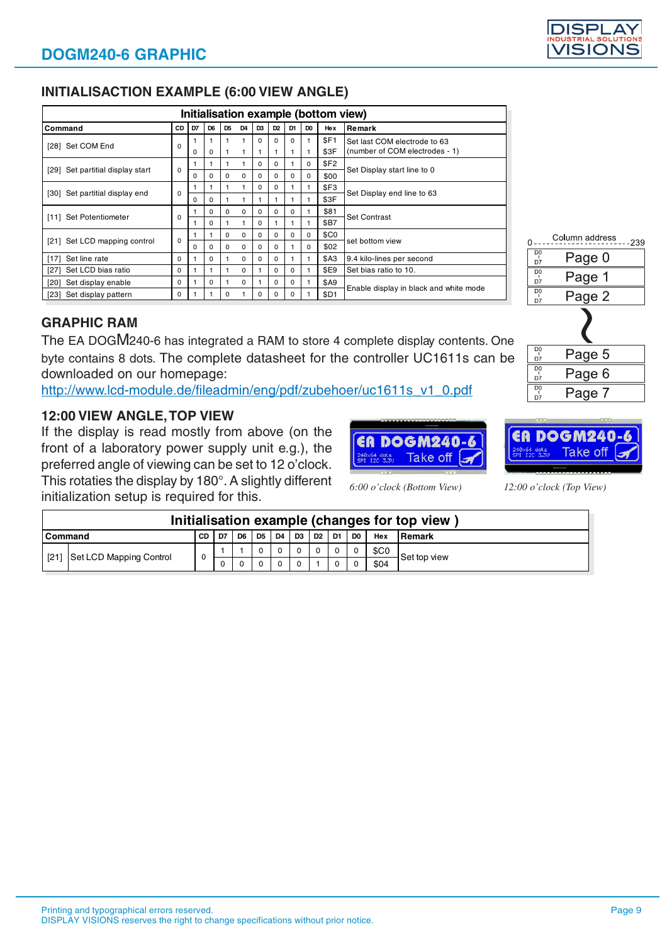# **INITIALISACTION EXAMPLE (6:00 VIEW ANGLE)**

|                                     | Initialisation example (bottom view) |    |                |                |                |                |                |                |                |                  |                                                                |  |
|-------------------------------------|--------------------------------------|----|----------------|----------------|----------------|----------------|----------------|----------------|----------------|------------------|----------------------------------------------------------------|--|
| Command                             | CD                                   | D7 | D <sub>6</sub> | D <sub>5</sub> | D <sub>4</sub> | D <sub>3</sub> | D <sub>2</sub> | D <sub>1</sub> | D <sub>0</sub> | Hex              | Remark                                                         |  |
| [28] Set COM End                    | $\Omega$                             | 0  | $\Omega$       |                | 1              | $\Omega$       | $\Omega$<br>1  | 0              |                | SF1<br>\$3F      | Set last COM electrode to 63<br>(number of COM electrodes - 1) |  |
|                                     |                                      |    |                |                |                | $\Omega$       | $\Omega$       |                | 0              | \$F <sub>2</sub> |                                                                |  |
| Set partitial display start<br>[29] | $\Omega$                             | 0  | <sup>0</sup>   | $\Omega$       | 0              | $\Omega$       | $\Omega$       | 0              | $\Omega$       | \$00             | Set Display start line to 0                                    |  |
|                                     | $\Omega$                             |    |                |                |                | $\Omega$       | $\Omega$       |                |                | \$F3             | Set Display end line to 63                                     |  |
| [30] Set partitial display end      |                                      | 0  | 0              |                |                |                | 1              |                |                | \$3F             |                                                                |  |
| Set Potentiometer<br>[11]           |                                      |    | $\Omega$       | $\Omega$       | $\Omega$       | $\Omega$       | $\Omega$       | 0              |                | \$81             | <b>Set Contrast</b>                                            |  |
|                                     | 0                                    |    | $\Omega$       |                |                | $\Omega$       | 1              |                |                | \$B7             |                                                                |  |
|                                     | $\Omega$                             |    |                | $\Omega$       | $\Omega$       | $\Omega$       | $\Omega$       | 0              | $\Omega$       | \$C <sub>0</sub> | set bottom view                                                |  |
| Set LCD mapping control<br>[21]     |                                      | 0  | <sup>0</sup>   | $\Omega$       | $\Omega$       | $\Omega$       | $\Omega$       |                | $\Omega$       | \$02             |                                                                |  |
| Set line rate<br>$[17]$             | $\Omega$                             |    | 0              |                | $\Omega$       | $\Omega$       | $\Omega$       |                |                | <b>\$A3</b>      | 9.4 kilo-lines per second                                      |  |
| Set LCD bias ratio<br>[27]          | $\Omega$                             |    |                |                | $\Omega$       |                | $\Omega$       | 0              |                | \$E9             | Set bias ratio to 10.                                          |  |
| Set display enable<br>[20]          | $\Omega$                             |    | 0              |                | 0              |                | $\Omega$       | 0              |                | <b>\$A9</b>      |                                                                |  |
| [23] Set display pattern            | 0                                    |    |                | $\Omega$       |                | $\Omega$       | 0              | 0              |                | \$D1             | Enable display in black and white mode                         |  |

# **GRAPHIC RAM**

The EA DOGM240-6 has integrated a RAM to store 4 complete display contents. One byte contains 8 dots. The complete datasheet for the controller UC1611s can be downloaded on our homepage:

http://www.lcd-module.de/fileadmin/eng/pdf/zubehoer/uc1611s\_v1\_0.pdf

# **12:00 VIEW ANGLE, TOP VIEW**

If the display is read mostly from above (on the front of a laboratory power supply unit e.g.), the preferred angle of viewing can be set to 12 o'clock. This rotaties the display by 180°. A slightly different

initialization setup is required for this. *6:00 o'clock (Bottom View) 12:00 o'clock (Top View)*

| Initialisation example (changes for top view |                         |     |      |                |      |                |                |       |          |    |                  |                 |
|----------------------------------------------|-------------------------|-----|------|----------------|------|----------------|----------------|-------|----------|----|------------------|-----------------|
| l Command                                    |                         | CD. | 1 D7 | D <sub>6</sub> | D5 . | D <sub>4</sub> | D <sub>3</sub> | D2 D1 |          | D0 | Hex              | <b>I</b> Remark |
| [21]                                         | Set LCD Mapping Control | 0   |      |                |      |                |                |       |          |    | \$C <sub>0</sub> | Set top view    |
|                                              |                         |     |      |                |      |                |                |       | $\Omega$ |    | \$04             |                 |



|                | Column address<br>-239 |
|----------------|------------------------|
| D <sub>0</sub> | Page 0                 |
| D7             |                        |
| $D_Q^0$        |                        |
| D7             | Page 1                 |
| D <sub>0</sub> |                        |
|                | Page 2                 |

| $D_{\tilde{l}}^0$<br>D7 | Page 5 |
|-------------------------|--------|
| D <sub>0</sub><br>D7    | Page 6 |
| D <sub>0</sub>          | Page 7 |